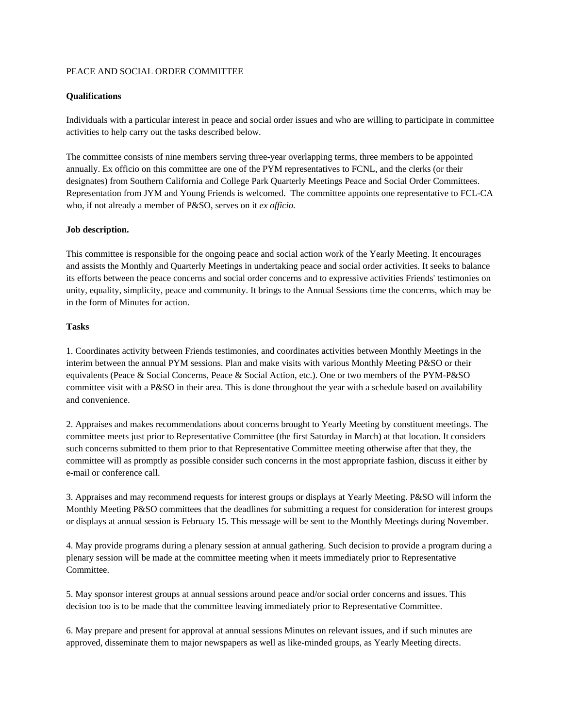# PEACE AND SOCIAL ORDER COMMITTEE

# **Qualifications**

Individuals with a particular interest in peace and social order issues and who are willing to participate in committee activities to help carry out the tasks described below.

The committee consists of nine members serving three-year overlapping terms, three members to be appointed annually. Ex officio on this committee are one of the PYM representatives to FCNL, and the clerks (or their designates) from Southern California and College Park Quarterly Meetings Peace and Social Order Committees. Representation from JYM and Young Friends is welcomed. The committee appoints one representative to FCL-CA who, if not already a member of P&SO, serves on it *ex officio.* 

### **Job description.**

This committee is responsible for the ongoing peace and social action work of the Yearly Meeting. It encourages and assists the Monthly and Quarterly Meetings in undertaking peace and social order activities. It seeks to balance its efforts between the peace concerns and social order concerns and to expressive activities Friends' testimonies on unity, equality, simplicity, peace and community. It brings to the Annual Sessions time the concerns, which may be in the form of Minutes for action.

### **Tasks**

1. Coordinates activity between Friends testimonies, and coordinates activities between Monthly Meetings in the interim between the annual PYM sessions. Plan and make visits with various Monthly Meeting P&SO or their equivalents (Peace & Social Concerns, Peace & Social Action, etc.). One or two members of the PYM-P&SO committee visit with a P&SO in their area. This is done throughout the year with a schedule based on availability and convenience.

2. Appraises and makes recommendations about concerns brought to Yearly Meeting by constituent meetings. The committee meets just prior to Representative Committee (the first Saturday in March) at that location. It considers such concerns submitted to them prior to that Representative Committee meeting otherwise after that they, the committee will as promptly as possible consider such concerns in the most appropriate fashion, discuss it either by e-mail or conference call.

3. Appraises and may recommend requests for interest groups or displays at Yearly Meeting. P&SO will inform the Monthly Meeting P&SO committees that the deadlines for submitting a request for consideration for interest groups or displays at annual session is February 15. This message will be sent to the Monthly Meetings during November.

4. May provide programs during a plenary session at annual gathering. Such decision to provide a program during a plenary session will be made at the committee meeting when it meets immediately prior to Representative Committee.

5. May sponsor interest groups at annual sessions around peace and/or social order concerns and issues. This decision too is to be made that the committee leaving immediately prior to Representative Committee.

6. May prepare and present for approval at annual sessions Minutes on relevant issues, and if such minutes are approved, disseminate them to major newspapers as well as like-minded groups, as Yearly Meeting directs.